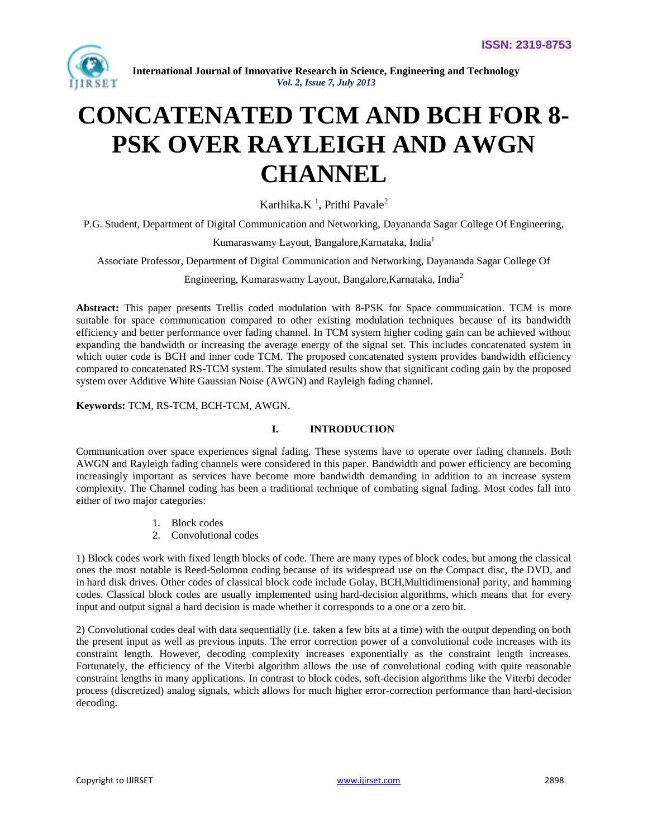

# **CONCATENATED TCM AND BCH FOR 8- PSK OVER RAYLEIGH AND AWGN CHANNEL**

Karthika. $K<sup>1</sup>$ , Prithi Pavale<sup>2</sup>

P.G. Student, Department of Digital Communication and Networking, Dayananda Sagar College Of Engineering,

Kumaraswamy Layout, Bangalore, Karnataka, India<sup>1</sup>

Associate Professor, Department of Digital Communication and Networking, Dayananda Sagar College Of

Engineering, Kumaraswamy Layout, Bangalore,Karnataka, India<sup>2</sup>

**Abstract:** This paper presents Trellis coded modulation with 8-PSK for Space communication. TCM is more suitable for space communication compared to other existing modulation techniques because of its bandwidth efficiency and better performance over fading channel. In TCM system higher coding gain can be achieved without expanding the bandwidth or increasing the average energy of the signal set. This includes concatenated system in which outer code is BCH and inner code TCM. The proposed concatenated system provides bandwidth efficiency compared to concatenated RS-TCM system. The simulated results show that significant coding gain by the proposed system over Additive White Gaussian Noise (AWGN) and Rayleigh fading channel.

**Keywords:** TCM, RS-TCM, BCH-TCM, AWGN.

## **I. INTRODUCTION**

Communication over space experiences signal fading. These systems have to operate over fading channels. Both AWGN and Rayleigh fading channels were considered in this paper. Bandwidth and power efficiency are becoming increasingly important as services have become more bandwidth demanding in addition to an increase system complexity. The Channel coding has been a traditional technique of combating signal fading. Most codes fall into either of two major categories:

- 1. Block codes
- 2. Convolutional codes

1) Block codes work with fixed length blocks of code. There are many types of block codes, but among the classical ones the most notable is [Reed-Solomon coding](http://en.wikipedia.org/wiki/Reed-Solomon_error_correction) because of its widespread use on the [Compact disc,](http://en.wikipedia.org/wiki/Compact_disc) the [DVD,](http://en.wikipedia.org/wiki/DVD) and in [hard disk drives.](http://en.wikipedia.org/wiki/Hard_disk_drive#Error_handling) Other codes of classical block code include [Golay,](http://en.wikipedia.org/wiki/Golay_code) [BCH](http://en.wikipedia.org/wiki/BCH_code)[,Multidimensional parity,](http://en.wikipedia.org/wiki/Multidimensional_parity-check_code) and [hamming](http://en.wikipedia.org/wiki/Hamming_code)  [codes.](http://en.wikipedia.org/wiki/Hamming_code) Classical block codes are usually implemented using hard-decision algorithms, which means that for every input and output signal a hard decision is made whether it corresponds to a one or a zero bit.

2) Convolutional codes deal with data sequentially (i.e. taken a few bits at a time) with the output depending on both the present input as well as previous inputs. The error correction power of a convolutional code increases with its constraint length. However, decoding complexity increases exponentially as the constraint length increases. Fortunately, the efficiency of the Viterbi algorithm allows the use of convolutional coding with quite reasonable constraint lengths in many applications. In contrast to block codes, soft-decision algorithms like the Viterbi decoder process (discretized) analog signals, which allows for much higher error-correction performance than hard-decision decoding.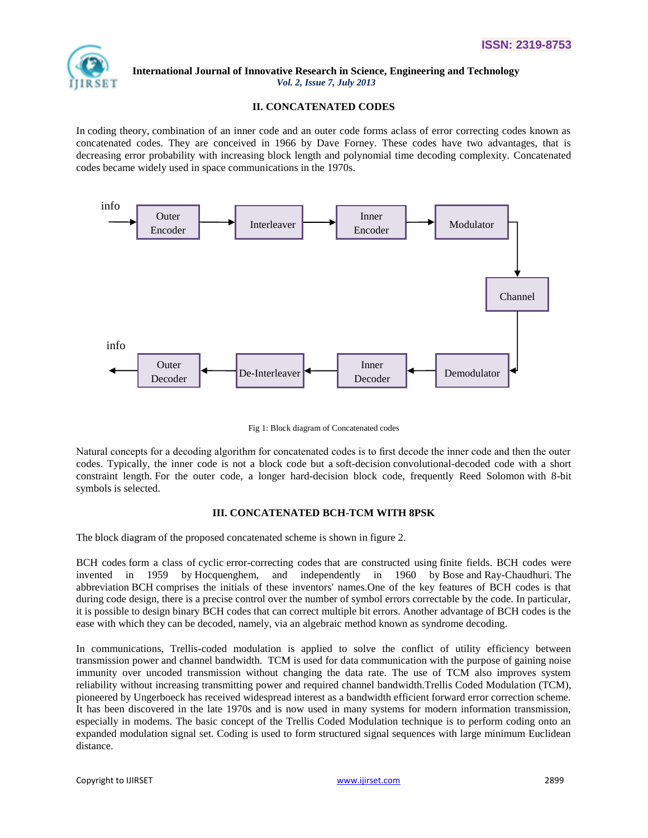

## **II. CONCATENATED CODES**

In [coding theory,](http://en.wikipedia.org/wiki/Coding_theory) combination of an inner code and an outer code forms aclass of error correcting codes known as concatenated codes. They are conceived in 1966 by Dave Forney. These codes have two advantages, that is decreasing error probability with increasing block length and polynomial time decoding complexity. Concatenated codes became widely used in space communications in the 1970s.



Fig 1: Block diagram of Concatenated codes

Natural concepts for a decoding algorithm for concatenated codes is to first decode the inner code and then the outer codes. Typically, the inner code is not a block code but a [soft-decision](http://en.wikipedia.org/wiki/Soft-decision_decoder) [convolutional-](http://en.wikipedia.org/wiki/Convolutional_code)decoded code with a short constraint length. For the outer code, a longer hard-decision block code, frequently [Reed Solomon](http://en.wikipedia.org/wiki/Reed_Solomon) with 8-bit symbols is selected.

## **III. CONCATENATED BCH-TCM WITH 8PSK**

The block diagram of the proposed concatenated scheme is shown in figure 2.

BCH codes form a class of [cyclic](http://en.wikipedia.org/wiki/Cyclic_code) [error-correcting codes](http://en.wikipedia.org/wiki/Error_detection_and_correction) that are constructed using [finite fields.](http://en.wikipedia.org/wiki/Finite_fields) BCH codes were invented in 1959 by [Hocquenghem,](http://en.wikipedia.org/wiki/Alexis_Hocquenghem) and independently in 1960 by [Bose](http://en.wikipedia.org/wiki/Raj_Chandra_Bose) and [Ray-Chaudhuri.](http://en.wikipedia.org/wiki/D.K._Ray-Chaudhuri) The abbreviation BCH comprises the initials of these inventors' names.One of the key features of BCH codes is that during code design, there is a precise control over the number of symbol errors correctable by the code. In particular, it is possible to design binary BCH codes that can correct multiple bit errors. Another advantage of BCH codes is the ease with which they can be decoded, namely, via an [algebraic](http://en.wikipedia.org/wiki/Abstract_algebra) method known as [syndrome decoding.](http://en.wikipedia.org/wiki/Syndrome_decoding)

In communications, Trellis-coded modulation is applied to solve the conflict of utility efficiency between transmission power and channel bandwidth. TCM is used for data communication with the purpose of gaining noise immunity over uncoded transmission without changing the data rate. The use of TCM also improves system reliability without increasing transmitting power and required channel bandwidth.Trellis Coded Modulation (TCM), pioneered by Ungerboeck has received widespread interest as a bandwidth efficient forward error correction scheme. It has been discovered in the late 1970s and is now used in many systems for modern information transmission, especially in modems. The basic concept of the Trellis Coded Modulation technique is to perform coding onto an expanded modulation signal set. Coding is used to form structured signal sequences with large minimum Euclidean distance.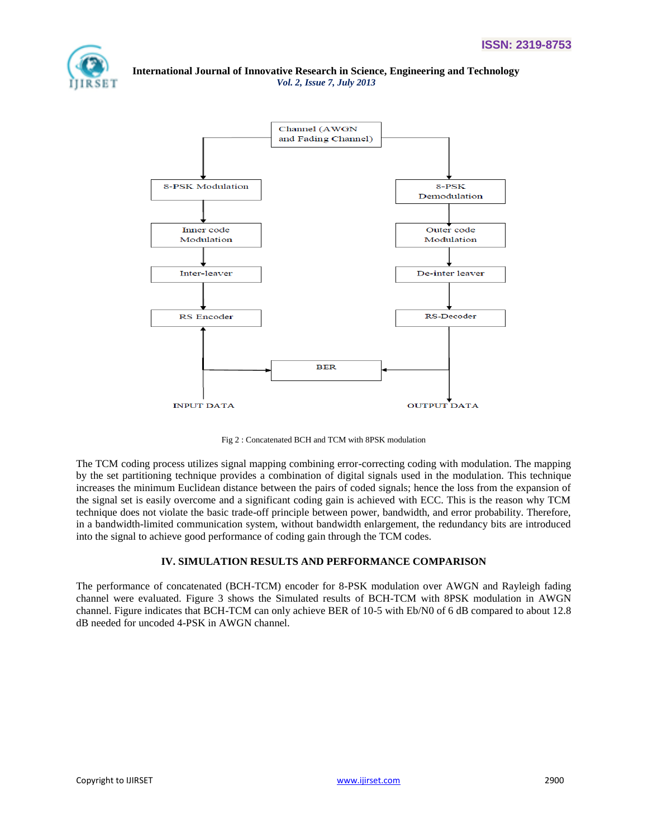



Fig 2 : Concatenated BCH and TCM with 8PSK modulation

The TCM coding process utilizes signal mapping combining error-correcting coding with modulation. The mapping by the set partitioning technique provides a combination of digital signals used in the modulation. This technique increases the minimum Euclidean distance between the pairs of coded signals; hence the loss from the expansion of the signal set is easily overcome and a significant coding gain is achieved with ECC. This is the reason why TCM technique does not violate the basic trade-off principle between power, bandwidth, and error probability. Therefore, in a bandwidth-limited communication system, without bandwidth enlargement, the redundancy bits are introduced into the signal to achieve good performance of coding gain through the TCM codes.

# **IV. SIMULATION RESULTS AND PERFORMANCE COMPARISON**

The performance of concatenated (BCH-TCM) encoder for 8-PSK modulation over AWGN and Rayleigh fading channel were evaluated. Figure 3 shows the Simulated results of BCH-TCM with 8PSK modulation in AWGN channel. Figure indicates that BCH-TCM can only achieve BER of 10-5 with Eb/N0 of 6 dB compared to about 12.8 dB needed for uncoded 4-PSK in AWGN channel.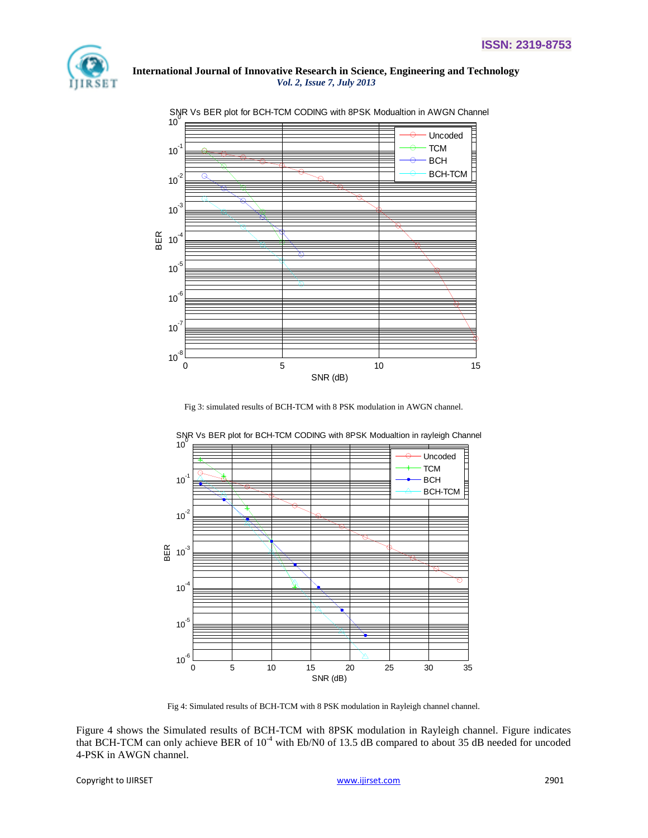



#### SNR Vs BER plot for BCH-TCM CODING with 8PSK Modualtion in AWGN Channel

Fig 3: simulated results of BCH-TCM with 8 PSK modulation in AWGN channel.



SNR Vs BER plot for BCH-TCM CODING with 8PSK Modualtion in rayleigh Channel

Fig 4: Simulated results of BCH-TCM with 8 PSK modulation in Rayleigh channel channel.

Figure 4 shows the Simulated results of BCH-TCM with 8PSK modulation in Rayleigh channel. Figure indicates that BCH-TCM can only achieve BER of 10<sup>-4</sup> with Eb/N0 of 13.5 dB compared to about 35 dB needed for uncoded 4-PSK in AWGN channel.

Copyright to IJIRSET [www.ijirset.com](http://www.ijirset.com/) 2901